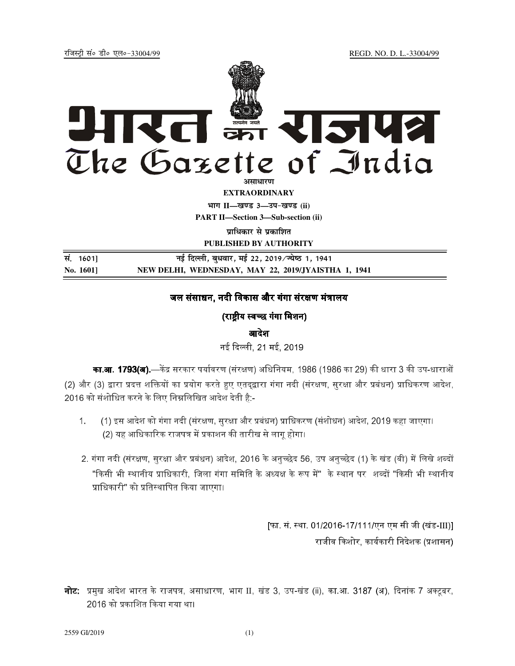jftLVªh laö Mhö ,yö&33004@99 REGD. NO. D. L.-33004/99



**EXTRAORDINARY Hkkx II—[k.M 3—mi&[k.M (ii) PART II—Section 3—Sub-section (ii)** 

*u***italized with values** 

**PUBLISHED BY AUTHORITY**

सं. 1601] **सं. बिर करना के नई दिल्ली, बुधवार, मई 22, 2019/ज्येष्ठ 1, 1941 No. 1601] NEW DELHI, WEDNESDAY, MAY 22, 2019/JYAISTHA 1, 1941**

# जल संसाधन, नदी विकास और गंगा संरक्षण मंत्रालय

## (राष्टीय स्वच्छ गंगा मिशन)

#### आदेश

नई दिल्ली, 21 मई, 2019 <sub>-</sub>

**का.आ. 1793(अ).**—केंद्र सरकार पर्यावरण (संरक्षण) अधिनियम. 1986 (1986 का 29) की धारा 3 की उप-धाराओं (2) और (3) द्वारा प्रदत्त शक्तियों का प्रयोग करते हुए एतदद्वारा गंगा नदी (संरक्षण, सरक्षा और प्रबंधन) प्राधिकरण आदेश, 2016 को संशोधित करने के लिए निम्नलिखित आदेश देती है:-

- 1. (1) इस आदेश को गंगा नदी (संरक्षण, सरक्षा और प्रबंधन) प्राधिकरण (संशोधन) आदेश, 2019 कहा जाएगा। (2) यह आधिकारिक राजपत्र में प्रकाशन की तारीख से लाग होगा।
- 2. गंगा नदी (संरक्षण. सरक्षा और प्रबंधन) आदेश. 2016 के अनच्छेद 56. उप अनच्छेद (1) के खंड (बी) में लिखे शब्दों "किसी भी स्थानीय प्राधिकारी. जिला गंगा समिति के अध्यक्ष के रूप में" के स्थान पर शब्दों "किसी भी स्थानीय प्राधिकारी" को प्रतिस्थापित किया जाएगा।

[फा. सं. स्था. 01/2016-17/111/एन एम सी जी (खंड-III)] राजीव किशोर, कार्यकारी निदेशक (प्रशासन)

**नोट:** प्रमुख आदेश भारत के राजपत्र, असाधारण, भाग II, खंड 3, उप-खंड (ii), का.आ. 3187 (अ), दिनांक 7 अक्टूबर, 2016 को प्रकाशित किया गया था।